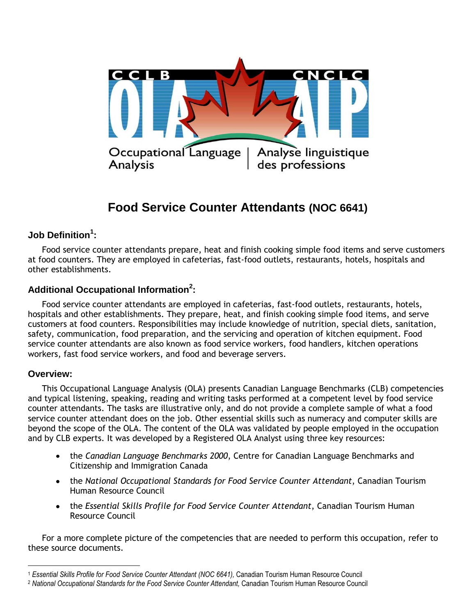

# **Food Service Counter Attendants (NOC 6641)**

### **Job Definition<sup>1</sup> :**

Food service counter attendants prepare, heat and finish cooking simple food items and serve customers at food counters. They are employed in cafeterias, fast-food outlets, restaurants, hotels, hospitals and other establishments.

### **Additional Occupational Information<sup>2</sup> :**

Food service counter attendants are employed in cafeterias, fast-food outlets, restaurants, hotels, hospitals and other establishments. They prepare, heat, and finish cooking simple food items, and serve customers at food counters. Responsibilities may include knowledge of nutrition, special diets, sanitation, safety, communication, food preparation, and the servicing and operation of kitchen equipment. Food service counter attendants are also known as food service workers, food handlers, kitchen operations workers, fast food service workers, and food and beverage servers.

### **Overview:**

This Occupational Language Analysis (OLA) presents Canadian Language Benchmarks (CLB) competencies and typical listening, speaking, reading and writing tasks performed at a competent level by food service counter attendants. The tasks are illustrative only, and do not provide a complete sample of what a food service counter attendant does on the job. Other essential skills such as numeracy and computer skills are beyond the scope of the OLA. The content of the OLA was validated by people employed in the occupation and by CLB experts. It was developed by a Registered OLA Analyst using three key resources:

- the *Canadian Language Benchmarks 2000*, Centre for Canadian Language Benchmarks and Citizenship and Immigration Canada
- the *National Occupational Standards for Food Service Counter Attendant*, Canadian Tourism Human Resource Council
- the *Essential Skills Profile for Food Service Counter Attendant*, Canadian Tourism Human Resource Council

For a more complete picture of the competencies that are needed to perform this occupation, refer to these source documents.

 $\overline{a}$ <sup>1</sup> *Essential Skills Profile for Food Service Counter Attendant (NOC 6641),* Canadian Tourism Human Resource Council

<sup>2</sup> *National Occupational Standards for the Food Service Counter Attendant,* Canadian Tourism Human Resource Council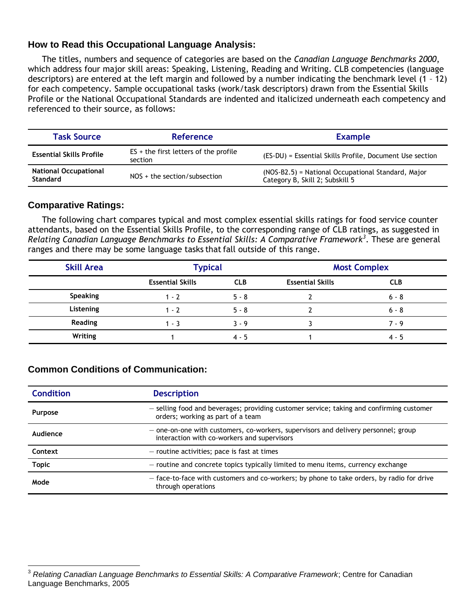### **How to Read this Occupational Language Analysis:**

The titles, numbers and sequence of categories are based on the *Canadian Language Benchmarks 2000*, which address four major skill areas: Speaking, Listening, Reading and Writing. CLB competencies (language descriptors) are entered at the left margin and followed by a number indicating the benchmark level (1 – 12) for each competency. Sample occupational tasks (work/task descriptors) drawn from the Essential Skills Profile or the National Occupational Standards are indented and italicized underneath each competency and referenced to their source, as follows:

| <b>Task Source</b>                                                                | <b>Reference</b>                                   | <b>Example</b>                                                                        |  |
|-----------------------------------------------------------------------------------|----------------------------------------------------|---------------------------------------------------------------------------------------|--|
| <b>Essential Skills Profile</b>                                                   | $ES + the first letters of the profile$<br>section | (ES-DU) = Essential Skills Profile, Document Use section                              |  |
| <b>National Occupational</b><br>$NOS + the section/subsection$<br><b>Standard</b> |                                                    | (NOS-B2.5) = National Occupational Standard, Major<br>Category B, Skill 2; Subskill 5 |  |

### **Comparative Ratings:**

 $\overline{a}$ 

The following chart compares typical and most complex essential skills ratings for food service counter attendants, based on the Essential Skills Profile, to the corresponding range of CLB ratings, as suggested in *Relating Canadian Language Benchmarks to Essential Skills: A Comparative Framework<sup>3</sup>* . These are general ranges and there may be some language tasks that fall outside of this range.

| <b>Skill Area</b> | <b>Typical</b>          |            | <b>Most Complex</b>     |            |
|-------------------|-------------------------|------------|-------------------------|------------|
|                   | <b>Essential Skills</b> | <b>CLB</b> | <b>Essential Skills</b> | <b>CLB</b> |
| <b>Speaking</b>   | $1 - 2$                 | $5 - 8$    |                         | $6 - 8$    |
| Listening         | $1 - 2$                 | $5 - 8$    |                         | $6 - 8$    |
| <b>Reading</b>    | $1 - 3$                 | $3 - 9$    |                         | $7 - 9$    |
| Writing           |                         | $4 - 5$    |                         | $4 - 5$    |

### **Common Conditions of Communication:**

| <b>Condition</b> | <b>Description</b>                                                                                                                |  |
|------------------|-----------------------------------------------------------------------------------------------------------------------------------|--|
| Purpose          | - selling food and beverages; providing customer service; taking and confirming customer<br>orders; working as part of a team     |  |
| Audience         | - one-on-one with customers, co-workers, supervisors and delivery personnel; group<br>interaction with co-workers and supervisors |  |
| Context          | - routine activities; pace is fast at times                                                                                       |  |
| <b>Topic</b>     | - routine and concrete topics typically limited to menu items, currency exchange                                                  |  |
| Mode             | - face-to-face with customers and co-workers; by phone to take orders, by radio for drive<br>through operations                   |  |

<sup>3</sup> *Relating Canadian Language Benchmarks to Essential Skills: A Comparative Framework*; Centre for Canadian Language Benchmarks, 2005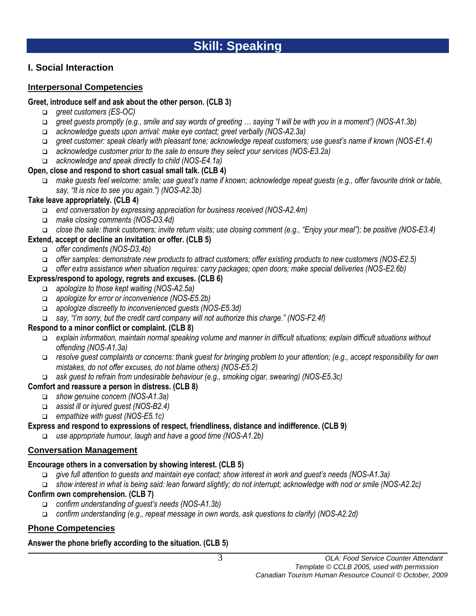# **I. Social Interaction**

### **Interpersonal Competencies**

### **Greet, introduce self and ask about the other person. (CLB 3)**

- *greet customers (ES-OC)*
- *greet guests promptly (e.g., smile and say words of greeting … saying "I will be with you in a moment") (NOS-A1.3b)*
- *acknowledge guests upon arrival: make eye contact; greet verbally (NOS-A2.3a)*
- *greet customer: speak clearly with pleasant tone; acknowledge repeat customers; use guest's name if known (NOS-E1.4)*
- *acknowledge customer prior to the sale to ensure they select your services (NOS-E3.2a)*
- *acknowledge and speak directly to child (NOS-E4.1a)*

### **Open, close and respond to short casual small talk. (CLB 4)**

 *make guests feel welcome: smile; use guest's name if known; acknowledge repeat guests (e.g., offer favourite drink or table, say, "It is nice to see you again.") (NOS-A2.3b)*

### **Take leave appropriately. (CLB 4)**

- *end conversation by expressing appreciation for business received (NOS-A2.4m)*
- *make closing comments (NOS-D3.4d)*
- *close the sale: thank customers; invite return visits; use closing comment (e.g., "Enjoy your meal"); be positive (NOS-E3.4)*

### **Extend, accept or decline an invitation or offer. (CLB 5)**

- *offer condiments (NOS-D3.4b)*
- *offer samples: demonstrate new products to attract customers; offer existing products to new customers (NOS-E2.5)*
- *offer extra assistance when situation requires: carry packages; open doors; make special deliveries (NOS-E2.6b)*

### **Express/respond to apology, regrets and excuses. (CLB 6)**

- *apologize to those kept waiting (NOS-A2.5a)*
- *apologize for error or inconvenience (NOS-E5.2b)*
- *apologize discreetly to inconvenienced guests (NOS-E5.3d)*
- *say, "I'm sorry, but the credit card company will not authorize this charge." (NOS-F2.4f)*

### **Respond to a minor conflict or complaint. (CLB 8)**

- *explain information, maintain normal speaking volume and manner in difficult situations; explain difficult situations without offending (NOS-A1.3a)*
- *resolve guest complaints or concerns: thank guest for bringing problem to your attention; (e.g., accept responsibility for own mistakes, do not offer excuses, do not blame others) (NOS-E5.2)*
- *ask guest to refrain from undesirable behaviour (e.g., smoking cigar, swearing) (NOS-E5.3c)*

### **Comfort and reassure a person in distress. (CLB 8)**

- *show genuine concern (NOS-A1.3a)*
- *assist ill or injured guest (NOS-B2.4)*
- *empathize with guest (NOS-E5.1c)*

### **Express and respond to expressions of respect, friendliness, distance and indifference. (CLB 9)**

*use appropriate humour, laugh and have a good time (NOS-A1.2b)*

### **Conversation Management**

#### **Encourage others in a conversation by showing interest. (CLB 5)**

- *give full attention to guests and maintain eye contact; show interest in work and guest's needs (NOS-A1.3a)*
- *show interest in what is being said: lean forward slightly; do not interrupt; acknowledge with nod or smile (NOS-A2.2c)*

### **Confirm own comprehension. (CLB 7)**

- *confirm understanding of guest's needs (NOS-A1.3b)*
- *confirm understanding (e.g., repeat message in own words, ask questions to clarify) (NOS-A2.2d)*

### **Phone Competencies**

### **Answer the phone briefly according to the situation. (CLB 5)**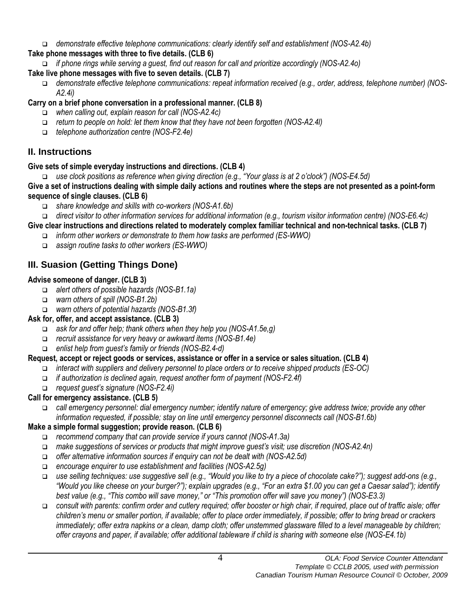*demonstrate effective telephone communications: clearly identify self and establishment (NOS-A2.4b)* 

# **Take phone messages with three to five details. (CLB 6)**

*if phone rings while serving a guest, find out reason for call and prioritize accordingly (NOS-A2.4o)* 

# **Take live phone messages with five to seven details. (CLB 7)**

 *demonstrate effective telephone communications: repeat information received (e.g., order, address, telephone number) (NOS-A2.4i)*

# **Carry on a brief phone conversation in a professional manner. (CLB 8)**

- *when calling out, explain reason for call (NOS-A2.4c)*
- *return to people on hold: let them know that they have not been forgotten (NOS-A2.4l)*
- *telephone authorization centre (NOS-F2.4e)*

# **II. Instructions**

# **Give sets of simple everyday instructions and directions. (CLB 4)**

*use clock positions as reference when giving direction (e.g., "Your glass is at 2 o'clock") (NOS-E4.5d)*

**Give a set of instructions dealing with simple daily actions and routines where the steps are not presented as a point-form sequence of single clauses. (CLB 6)**

- *share knowledge and skills with co-workers (NOS-A1.6b)*
- *direct visitor to other information services for additional information (e.g., tourism visitor information centre) (NOS-E6.4c)*
- **Give clear instructions and directions related to moderately complex familiar technical and non-technical tasks. (CLB 7)**
	- *inform other workers or demonstrate to them how tasks are performed (ES-WWO)*
	- *assign routine tasks to other workers (ES-WWO)*

# **III. Suasion (Getting Things Done)**

# **Advise someone of danger. (CLB 3)**

- *alert others of possible hazards (NOS-B1.1a)*
- *warn others of spill (NOS-B1.2b)*
- *warn others of potential hazards (NOS-B1.3f)*

# **Ask for, offer, and accept assistance. (CLB 3)**

- *ask for and offer help; thank others when they help you (NOS-A1.5e,g)*
- *recruit assistance for very heavy or awkward items (NOS-B1.4e)*
- *enlist help from guest's family or friends (NOS-B2.4-d)*

# **Request, accept or reject goods or services, assistance or offer in a service or sales situation. (CLB 4)**

- *interact with suppliers and delivery personnel to place orders or to receive shipped products (ES-OC)*
- *if authorization is declined again, request another form of payment (NOS-F2.4f)*
- *request guest's signature (NOS-F2.4i)*

# **Call for emergency assistance. (CLB 5)**

 *call emergency personnel: dial emergency number; identify nature of emergency; give address twice; provide any other information requested, if possible; stay on line until emergency personnel disconnects call (NOS-B1.6b)*

# **Make a simple formal suggestion; provide reason. (CLB 6)**

- *recommend company that can provide service if yours cannot (NOS-A1.3a)*
- *make suggestions of services or products that might improve guest's visit; use discretion (NOS-A2.4n)*
- *offer alternative information sources if enquiry can not be dealt with (NOS-A2.5d)*
- *encourage enquirer to use establishment and facilities (NOS-A2.5g)*
- *use selling techniques: use suggestive sell (e.g., "Would you like to try a piece of chocolate cake?"); suggest add-ons (e.g., "Would you like cheese on your burger?"); explain upgrades (e.g., "For an extra \$1.00 you can get a Caesar salad"); identify best value (e.g., "This combo will save money," or "This promotion offer will save you money") (NOS-E3.3)*
- *consult with parents: confirm order and cutlery required; offer booster or high chair, if required, place out of traffic aisle; offer children's menu or smaller portion, if available; offer to place order immediately, if possible; offer to bring bread or crackers immediately; offer extra napkins or a clean, damp cloth; offer unstemmed glassware filled to a level manageable by children; offer crayons and paper, if available; offer additional tableware if child is sharing with someone else (NOS-E4.1b)*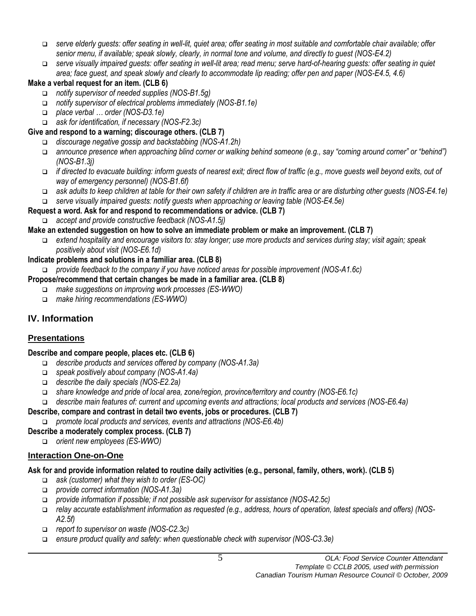- *serve elderly guests: offer seating in well-lit, quiet area; offer seating in most suitable and comfortable chair available; offer senior menu, if available; speak slowly, clearly, in normal tone and volume, and directly to guest (NOS-E4.2)*
- *serve visually impaired guests: offer seating in well-lit area; read menu; serve hard-of-hearing guests: offer seating in quiet area; face guest, and speak slowly and clearly to accommodate lip reading; offer pen and paper (NOS-E4.5, 4.6)*

### **Make a verbal request for an item. (CLB 6)**

- *notify supervisor of needed supplies (NOS-B1.5g)*
- *notify supervisor of electrical problems immediately (NOS-B1.1e)*
- *place verbal … order (NOS-D3.1e)*
- *ask for identification, if necessary (NOS-F2.3c)*

### **Give and respond to a warning; discourage others. (CLB 7)**

- *discourage negative gossip and backstabbing (NOS-A1.2h)*
- *announce presence when approaching blind corner or walking behind someone (e.g., say "coming around corner" or "behind") (NOS-B1.3j)*
- *if directed to evacuate building: inform guests of nearest exit; direct flow of traffic (e.g., move guests well beyond exits, out of way of emergency personnel) (NOS-B1.6f)*
- *ask adults to keep children at table for their own safety if children are in traffic area or are disturbing other guests (NOS-E4.1e)*
- *serve visually impaired guests: notify guests when approaching or leaving table (NOS-E4.5e)*

### **Request a word. Ask for and respond to recommendations or advice. (CLB 7)**

*accept and provide constructive feedback (NOS-A1.5j)*

### **Make an extended suggestion on how to solve an immediate problem or make an improvement. (CLB 7)**

 *extend hospitality and encourage visitors to: stay longer; use more products and services during stay; visit again; speak positively about visit (NOS-E6.1d)*

### **Indicate problems and solutions in a familiar area. (CLB 8)**

*provide feedback to the company if you have noticed areas for possible improvement (NOS-A1.6c)*

### **Propose/recommend that certain changes be made in a familiar area. (CLB 8)**

- *make suggestions on improving work processes (ES-WWO)*
- *make hiring recommendations (ES-WWO)*

# **IV. Information**

### **Presentations**

### **Describe and compare people, places etc. (CLB 6)**

- *describe products and services offered by company (NOS-A1.3a)*
- *speak positively about company (NOS-A1.4a)*
- *describe the daily specials (NOS-E2.2a)*
- *share knowledge and pride of local area, zone/region, province/territory and country (NOS-E6.1c)*
- *describe main features of: current and upcoming events and attractions; local products and services (NOS-E6.4a)*

### **Describe, compare and contrast in detail two events, jobs or procedures. (CLB 7)**

*promote local products and services, events and attractions (NOS-E6.4b)*

### **Describe a moderately complex process. (CLB 7)**

*orient new employees (ES-WWO)*

### **Interaction One-on-One**

### **Ask for and provide information related to routine daily activities (e.g., personal, family, others, work). (CLB 5)**

- *ask (customer) what they wish to order (ES-OC)*
- *provide correct information (NOS-A1.3a)*
- *provide information if possible; if not possible ask supervisor for assistance (NOS-A2.5c)*
- *relay accurate establishment information as requested (e.g., address, hours of operation, latest specials and offers) (NOS-A2.5f)*
- *report to supervisor on waste (NOS-C2.3c)*
- *ensure product quality and safety: when questionable check with supervisor (NOS-C3.3e)*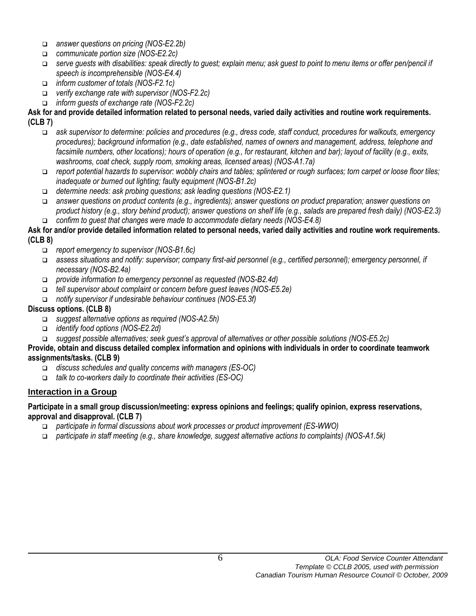- *answer questions on pricing (NOS-E2.2b)*
- *communicate portion size (NOS-E2.2c)*
- *serve guests with disabilities: speak directly to guest; explain menu; ask guest to point to menu items or offer pen/pencil if speech is incomprehensible (NOS-E4.4)*
- *inform customer of totals (NOS-F2.1c)*
- *verify exchange rate with supervisor (NOS-F2.2c)*
- *inform guests of exchange rate (NOS-F2.2c)*

### **Ask for and provide detailed information related to personal needs, varied daily activities and routine work requirements. (CLB 7)**

- *ask supervisor to determine: policies and procedures (e.g., dress code, staff conduct, procedures for walkouts, emergency procedures); background information (e.g., date established, names of owners and management, address, telephone and facsimile numbers, other locations); hours of operation (e.g., for restaurant, kitchen and bar); layout of facility (e.g., exits, washrooms, coat check, supply room, smoking areas, licensed areas) (NOS-A1.7a)*
- *report potential hazards to supervisor: wobbly chairs and tables; splintered or rough surfaces; torn carpet or loose floor tiles; inadequate or burned out lighting; faulty equipment (NOS-B1.2c)*
- *determine needs: ask probing questions; ask leading questions (NOS-E2.1)*
- *answer questions on product contents (e.g., ingredients); answer questions on product preparation; answer questions on product history (e.g., story behind product); answer questions on shelf life (e.g., salads are prepared fresh daily) (NOS-E2.3) confirm to guest that changes were made to accommodate dietary needs (NOS-E4.8)*

### **Ask for and/or provide detailed information related to personal needs, varied daily activities and routine work requirements. (CLB 8)**

- *report emergency to supervisor (NOS-B1.6c)*
- *assess situations and notify: supervisor; company first-aid personnel (e.g., certified personnel); emergency personnel, if necessary (NOS-B2.4a)*
- *provide information to emergency personnel as requested (NOS-B2.4d)*
- *tell supervisor about complaint or concern before guest leaves (NOS-E5.2e)*
- *notify supervisor if undesirable behaviour continues (NOS-E5.3f)*

### **Discuss options. (CLB 8)**

- *suggest alternative options as required (NOS-A2.5h)*
- *identify food options (NOS-E2.2d)*
- *suggest possible alternatives; seek guest's approval of alternatives or other possible solutions (NOS-E5.2c)*

### **Provide, obtain and discuss detailed complex information and opinions with individuals in order to coordinate teamwork assignments/tasks. (CLB 9)**

- *discuss schedules and quality concerns with managers (ES-OC)*
- *talk to co-workers daily to coordinate their activities (ES-OC)*

### **Interaction in a Group**

### **Participate in a small group discussion/meeting: express opinions and feelings; qualify opinion, express reservations, approval and disapproval. (CLB 7)**

- *participate in formal discussions about work processes or product improvement (ES-WWO)*
- *participate in staff meeting (e.g., share knowledge, suggest alternative actions to complaints) (NOS-A1.5k)*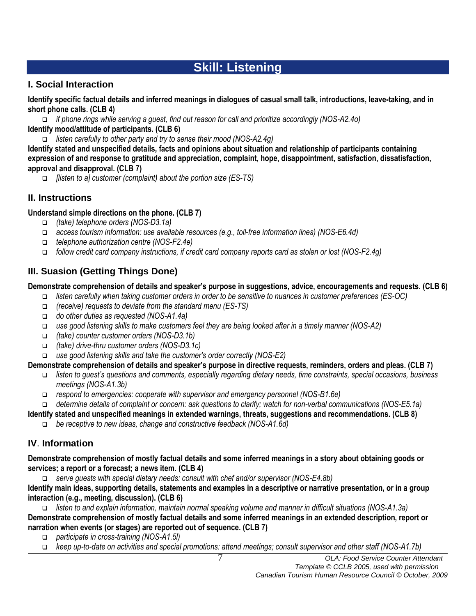# **Skill: Listening**

### **I. Social Interaction**

**Identify specific factual details and inferred meanings in dialogues of casual small talk, introductions, leave-taking, and in short phone calls. (CLB 4)**

 *if phone rings while serving a guest, find out reason for call and prioritize accordingly (NOS-A2.4o)*  **Identify mood/attitude of participants. (CLB 6)**

*listen carefully to other party and try to sense their mood (NOS-A2.4g)*

**Identify stated and unspecified details, facts and opinions about situation and relationship of participants containing expression of and response to gratitude and appreciation, complaint, hope, disappointment, satisfaction, dissatisfaction, approval and disapproval. (CLB 7)**

*[listen to a] customer (complaint) about the portion size (ES-TS)*

### **II. Instructions**

### **Understand simple directions on the phone. (CLB 7)**

- *(take) telephone orders (NOS-D3.1a)*
- *access tourism information: use available resources (e.g., toll-free information lines) (NOS-E6.4d)*
- *telephone authorization centre (NOS-F2.4e)*
- *follow credit card company instructions, if credit card company reports card as stolen or lost (NOS-F2.4g)*

# **III. Suasion (Getting Things Done)**

### **Demonstrate comprehension of details and speaker's purpose in suggestions, advice, encouragements and requests. (CLB 6)**

- *listen carefully when taking customer orders in order to be sensitive to nuances in customer preferences (ES-OC)*
- *(receive) requests to deviate from the standard menu (ES-TS)*
- *do other duties as requested (NOS-A1.4a)*
- *use good listening skills to make customers feel they are being looked after in a timely manner (NOS-A2)*
- *(take) counter customer orders (NOS-D3.1b)*
- *(take) drive-thru customer orders (NOS-D3.1c)*
- *use good listening skills and take the customer's order correctly (NOS-E2)*

### **Demonstrate comprehension of details and speaker's purpose in directive requests, reminders, orders and pleas. (CLB 7)**

- *listen to guest's questions and comments, especially regarding dietary needs, time constraints, special occasions, business meetings (NOS-A1.3b)*
- *respond to emergencies: cooperate with supervisor and emergency personnel (NOS-B1.6e)*
- *determine details of complaint or concern: ask questions to clarify; watch for non-verbal communications (NOS-E5.1a)*

**Identify stated and unspecified meanings in extended warnings, threats, suggestions and recommendations. (CLB 8)**

*be receptive to new ideas, change and constructive feedback (NOS-A1.6d)*

### **IV**. **Information**

**Demonstrate comprehension of mostly factual details and some inferred meanings in a story about obtaining goods or services; a report or a forecast; a news item. (CLB 4)**

*serve guests with special dietary needs: consult with chef and/or supervisor (NOS-E4.8b)*

**Identify main ideas, supporting details, statements and examples in a descriptive or narrative presentation, or in a group interaction (e.g., meeting, discussion). (CLB 6)**

 *listen to and explain information, maintain normal speaking volume and manner in difficult situations (NOS-A1.3a)* **Demonstrate comprehension of mostly factual details and some inferred meanings in an extended description, report or narration when events (or stages) are reported out of sequence. (CLB 7)**

- *participate in cross-training (NOS-A1.5l)*
- *keep up-to-date on activities and special promotions: attend meetings; consult supervisor and other staff (NOS-A1.7b)*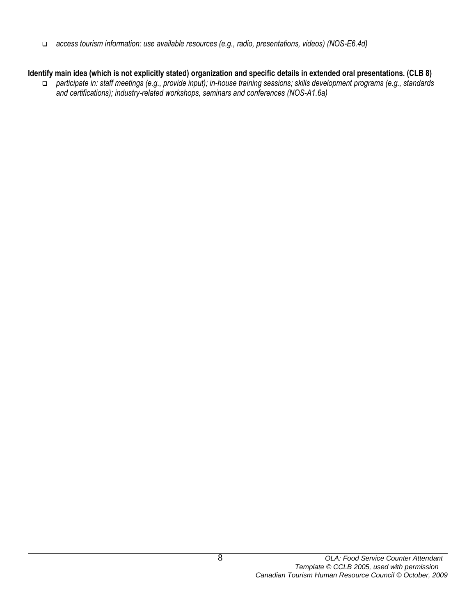*access tourism information: use available resources (e.g., radio, presentations, videos) (NOS-E6.4d)*

### **Identify main idea (which is not explicitly stated) organization and specific details in extended oral presentations. (CLB 8)**

 *participate in: staff meetings (e.g., provide input); in-house training sessions; skills development programs (e.g., standards and certifications); industry-related workshops, seminars and conferences (NOS-A1.6a)*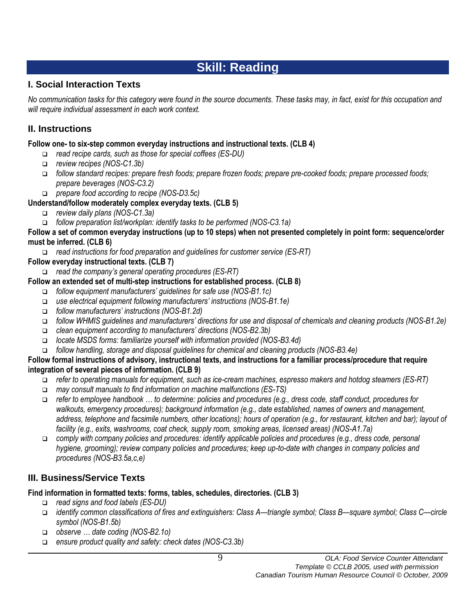# **Skill: Reading**

# **I. Social Interaction Texts**

*No communication tasks for this category were found in the source documents. These tasks may, in fact, exist for this occupation and will require individual assessment in each work context.*

# **II. Instructions**

### **Follow one- to six-step common everyday instructions and instructional texts. (CLB 4)**

- *read recipe cards, such as those for special coffees (ES-DU)*
- *review recipes (NOS-C1.3b)*
- *follow standard recipes: prepare fresh foods; prepare frozen foods; prepare pre-cooked foods; prepare processed foods; prepare beverages (NOS-C3.2)*
- *prepare food according to recipe (NOS-D3.5c)*

### **Understand/follow moderately complex everyday texts. (CLB 5)**

- *review daily plans (NOS-C1.3a)*
- *follow preparation list/workplan: identify tasks to be performed (NOS-C3.1a)*

**Follow a set of common everyday instructions (up to 10 steps) when not presented completely in point form: sequence/order must be inferred. (CLB 6)**

*read instructions for food preparation and guidelines for customer service (ES-RT)*

### **Follow everyday instructional texts. (CLB 7)**

*read the company's general operating procedures (ES-RT)*

### **Follow an extended set of multi-step instructions for established process. (CLB 8)**

- *follow equipment manufacturers' guidelines for safe use (NOS-B1.1c)*
- *use electrical equipment following manufacturers' instructions (NOS-B1.1e)*
- *follow manufacturers' instructions (NOS-B1.2d)*
- *follow WHMIS guidelines and manufacturers' directions for use and disposal of chemicals and cleaning products (NOS-B1.2e)*
- *clean equipment according to manufacturers' directions (NOS-B2.3b)*
- *locate MSDS forms: familiarize yourself with information provided (NOS-B3.4d)*
- *follow handling, storage and disposal guidelines for chemical and cleaning products (NOS-B3.4e)*

### **Follow formal instructions of advisory, instructional texts, and instructions for a familiar process/procedure that require integration of several pieces of information. (CLB 9)**

- *refer to operating manuals for equipment, such as ice-cream machines, espresso makers and hotdog steamers (ES-RT)*
- *may consult manuals to find information on machine malfunctions (ES-TS)*
- *refer to employee handbook … to determine: policies and procedures (e.g., dress code, staff conduct, procedures for walkouts, emergency procedures); background information (e.g., date established, names of owners and management, address, telephone and facsimile numbers, other locations); hours of operation (e.g., for restaurant, kitchen and bar); layout of facility (e.g., exits, washrooms, coat check, supply room, smoking areas, licensed areas) (NOS-A1.7a)*
- *comply with company policies and procedures: identify applicable policies and procedures (e.g., dress code, personal hygiene, grooming); review company policies and procedures; keep up-to-date with changes in company policies and procedures (NOS-B3.5a,c,e)*

# **III. Business/Service Texts**

### **Find information in formatted texts: forms, tables, schedules, directories. (CLB 3)**

- *read signs and food labels (ES-DU)*
- *identify common classifications of fires and extinguishers: Class A—triangle symbol; Class B—square symbol; Class C—circle symbol (NOS-B1.5b)*
- *observe … date coding (NOS-B2.1o)*
- *ensure product quality and safety: check dates (NOS-C3.3b)*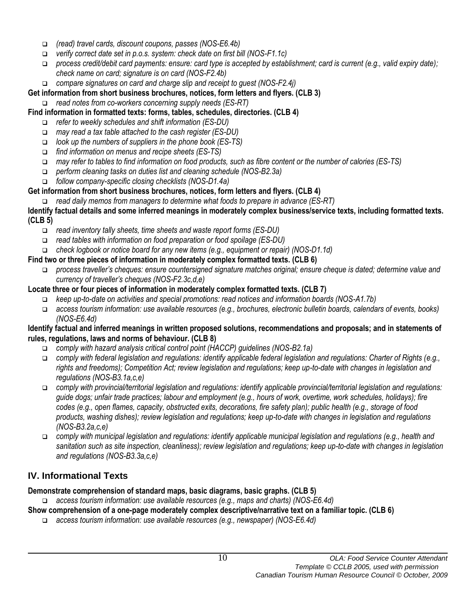- *(read) travel cards, discount coupons, passes (NOS-E6.4b)*
- *verify correct date set in p.o.s. system: check date on first bill (NOS-F1.1c)*
- *process credit/debit card payments: ensure: card type is accepted by establishment; card is current (e.g., valid expiry date); check name on card; signature is on card (NOS-F2.4b)*
- *compare signatures on card and charge slip and receipt to guest (NOS-F2.4j)*

### **Get information from short business brochures, notices, form letters and flyers. (CLB 3)**

*read notes from co-workers concerning supply needs (ES-RT)*

### **Find information in formatted texts: forms, tables, schedules, directories. (CLB 4)**

- *refer to weekly schedules and shift information (ES-DU)*
- *may read a tax table attached to the cash register (ES-DU)*
- *look up the numbers of suppliers in the phone book (ES-TS)*
- *find information on menus and recipe sheets (ES-TS)*
- *may refer to tables to find information on food products, such as fibre content or the number of calories (ES-TS)*
- *perform cleaning tasks on duties list and cleaning schedule (NOS-B2.3a)*
- *follow company-specific closing checklists (NOS-D1.4a)*

### **Get information from short business brochures, notices, form letters and flyers. (CLB 4)**

*read daily memos from managers to determine what foods to prepare in advance (ES-RT)*

### **Identify factual details and some inferred meanings in moderately complex business/service texts, including formatted texts. (CLB 5)**

- *read inventory tally sheets, time sheets and waste report forms (ES-DU)*
- *read tables with information on food preparation or food spoilage (ES-DU)*
- *check logbook or notice board for any new items (e.g., equipment or repair) (NOS-D1.1d)*

### **Find two or three pieces of information in moderately complex formatted texts. (CLB 6)**

 *process traveller's cheques: ensure countersigned signature matches original; ensure cheque is dated; determine value and currency of traveller's cheques (NOS-F2.3c,d,e)*

### **Locate three or four pieces of information in moderately complex formatted texts. (CLB 7)**

- *keep up-to-date on activities and special promotions: read notices and information boards (NOS-A1.7b)*
- *access tourism information: use available resources (e.g., brochures, electronic bulletin boards, calendars of events, books) (NOS-E6.4d)*

#### **Identify factual and inferred meanings in written proposed solutions, recommendations and proposals; and in statements of rules, regulations, laws and norms of behaviour. (CLB 8)**

- *comply with hazard analysis critical control point (HACCP) guidelines (NOS-B2.1a)*
- *comply with federal legislation and regulations: identify applicable federal legislation and regulations: Charter of Rights (e.g., rights and freedoms); Competition Act; review legislation and regulations; keep up-to-date with changes in legislation and regulations (NOS-B3.1a,c,e)*
- *comply with provincial/territorial legislation and regulations: identify applicable provincial/territorial legislation and regulations: guide dogs; unfair trade practices; labour and employment (e.g., hours of work, overtime, work schedules, holidays); fire codes (e.g., open flames, capacity, obstructed exits, decorations, fire safety plan); public health (e.g., storage of food products, washing dishes); review legislation and regulations; keep up-to-date with changes in legislation and regulations (NOS-B3.2a,c,e)*
- *comply with municipal legislation and regulations: identify applicable municipal legislation and regulations (e.g., health and sanitation such as site inspection, cleanliness); review legislation and regulations; keep up-to-date with changes in legislation and regulations (NOS-B3.3a,c,e)*

# **IV. Informational Texts**

### **Demonstrate comprehension of standard maps, basic diagrams, basic graphs. (CLB 5)**

*access tourism information: use available resources (e.g., maps and charts) (NOS-E6.4d)*

- **Show comprehension of a one-page moderately complex descriptive/narrative text on a familiar topic. (CLB 6)**
	- *access tourism information: use available resources (e.g., newspaper) (NOS-E6.4d)*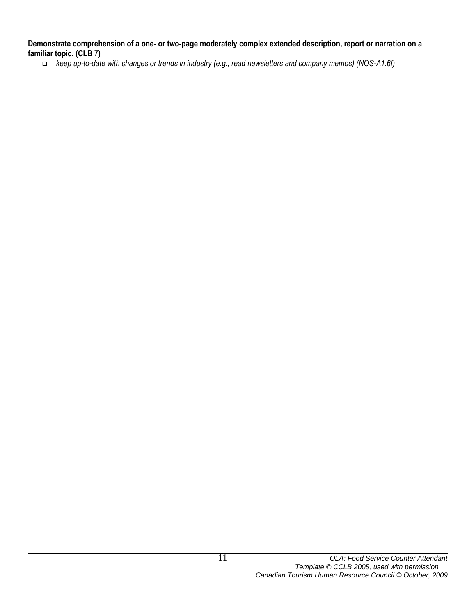**Demonstrate comprehension of a one- or two-page moderately complex extended description, report or narration on a familiar topic. (CLB 7)**

*keep up-to-date with changes or trends in industry (e.g., read newsletters and company memos) (NOS-A1.6f)*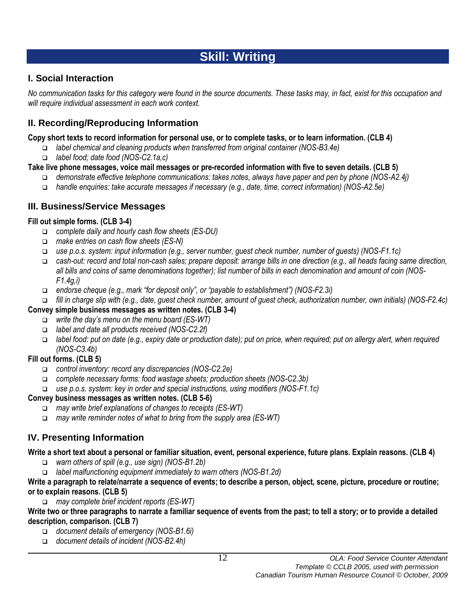# **Skill: Writing**

# **I. Social Interaction**

*No communication tasks for this category were found in the source documents. These tasks may, in fact, exist for this occupation and will require individual assessment in each work context.*

# **II. Recording/Reproducing Information**

### **Copy short texts to record information for personal use, or to complete tasks, or to learn information. (CLB 4)**

- *label chemical and cleaning products when transferred from original container (NOS-B3.4e)*
- *label food; date food (NOS-C2.1a,c)*

### **Take live phone messages, voice mail messages or pre-recorded information with five to seven details. (CLB 5)**

- *demonstrate effective telephone communications: takes notes, always have paper and pen by phone (NOS-A2.4j)*
- *handle enquiries: take accurate messages if necessary (e.g., date, time, correct information) (NOS-A2.5e)*

### **III. Business/Service Messages**

### **Fill out simple forms. (CLB 3-4)**

- *complete daily and hourly cash flow sheets (ES-DU)*
- *make entries on cash flow sheets (ES-N)*
- *use p.o.s. system: input information (e.g., server number, guest check number, number of guests) (NOS-F1.1c)*
- *cash-out: record and total non-cash sales; prepare deposit: arrange bills in one direction (e.g., all heads facing same direction, all bills and coins of same denominations together); list number of bills in each denomination and amount of coin (NOS-F1.4g,i)*
- *endorse cheque (e.g., mark "for deposit only", or "payable to establishment") (NOS-F2.3i)*
- *fill in charge slip with (e.g., date, guest check number, amount of guest check, authorization number, own initials) (NOS-F2.4c)*

### **Convey simple business messages as written notes. (CLB 3-4)**

- *write the day's menu on the menu board (ES-WT)*
- *label and date all products received (NOS-C2.2f)*
- *label food: put on date (e.g., expiry date or production date); put on price, when required; put on allergy alert, when required (NOS-C3.4b)*

### **Fill out forms. (CLB 5)**

- *control inventory: record any discrepancies (NOS-C2.2e)*
- *complete necessary forms: food wastage sheets; production sheets (NOS-C2.3b)*
- *use p.o.s. system: key in order and special instructions, using modifiers (NOS-F1.1c)*

### **Convey business messages as written notes. (CLB 5-6)**

- *may write brief explanations of changes to receipts (ES-WT)*
- *may write reminder notes of what to bring from the supply area (ES-WT)*

# **IV. Presenting Information**

### **Write a short text about a personal or familiar situation, event, personal experience, future plans. Explain reasons. (CLB 4)**

- *warn others of spill (e.g., use sign) (NOS-B1.2b)*
- *label malfunctioning equipment immediately to warn others (NOS-B1.2d)*

#### **Write a paragraph to relate/narrate a sequence of events; to describe a person, object, scene, picture, procedure or routine; or to explain reasons. (CLB 5)**

*may complete brief incident reports (ES-WT)*

**Write two or three paragraphs to narrate a familiar sequence of events from the past; to tell a story; or to provide a detailed description, comparison. (CLB 7)**

- *document details of emergency (NOS-B1.6i)*
- *document details of incident (NOS-B2.4h)*